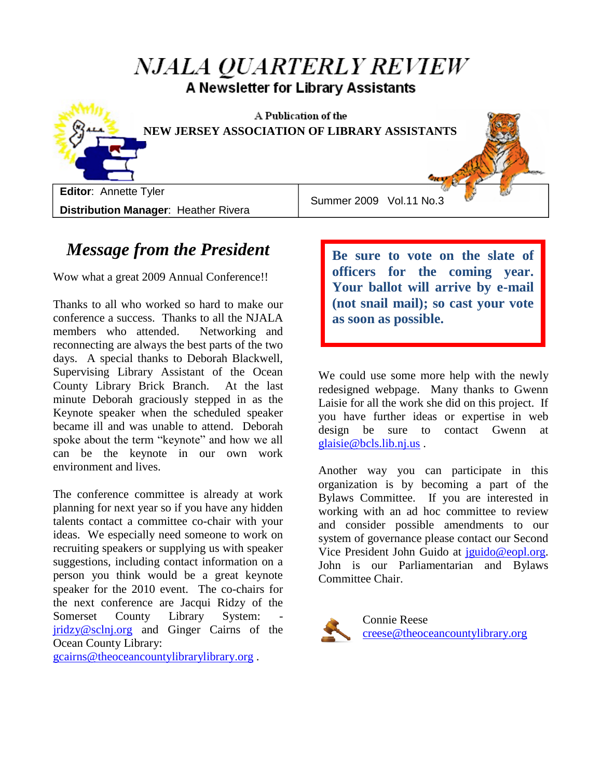# NJALA QUARTERLY REVIEW A Newsletter for Library Assistants



A Publication of the **NEW JERSEY ASSOCIATION OF LIBRARY ASSISTANTS**

**Editor**: Annette Tyler **Distribution Manager**: Heather Rivera

Summer 2009 Vol.11 No.3

# *Message from the President*

Wow what a great 2009 Annual Conference!!

Thanks to all who worked so hard to make our conference a success. Thanks to all the NJALA members who attended. Networking and reconnecting are always the best parts of the two days. A special thanks to Deborah Blackwell, Supervising Library Assistant of the Ocean County Library Brick Branch. At the last minute Deborah graciously stepped in as the Keynote speaker when the scheduled speaker became ill and was unable to attend. Deborah spoke about the term "keynote" and how we all can be the keynote in our own work environment and lives.

The conference committee is already at work planning for next year so if you have any hidden talents contact a committee co-chair with your ideas. We especially need someone to work on recruiting speakers or supplying us with speaker suggestions, including contact information on a person you think would be a great keynote speaker for the 2010 event. The co-chairs for the next conference are Jacqui Ridzy of the Somerset County Library System: [jridzy@sclnj.org](mailto:jridzy@sclnj.org) and Ginger Cairns of the Ocean County Library:

[gcairns@theoceancountylibrarylibrary.org](mailto:gcairns@theoceancountylibrarylibrary.org) .

**Be sure to vote on the slate of officers for the coming year. Your ballot will arrive by e-mail (not snail mail); so cast your vote as soon as possible.**

We could use some more help with the newly redesigned webpage. Many thanks to Gwenn Laisie for all the work she did on this project. If you have further ideas or expertise in web design be sure to contact Gwenn at [glaisie@bcls.lib.nj.us](mailto:glaisie@bcls.lib.nj.us) .

Another way you can participate in this organization is by becoming a part of the Bylaws Committee. If you are interested in working with an ad hoc committee to review and consider possible amendments to our system of governance please contact our Second Vice President John Guido at [jguido@eopl.org.](mailto:jguido@eopl.org) John is our Parliamentarian and Bylaws Committee Chair.



Connie Reese [creese@theoceancountylibrary.org](mailto:creese@theoceancountylibrary.org)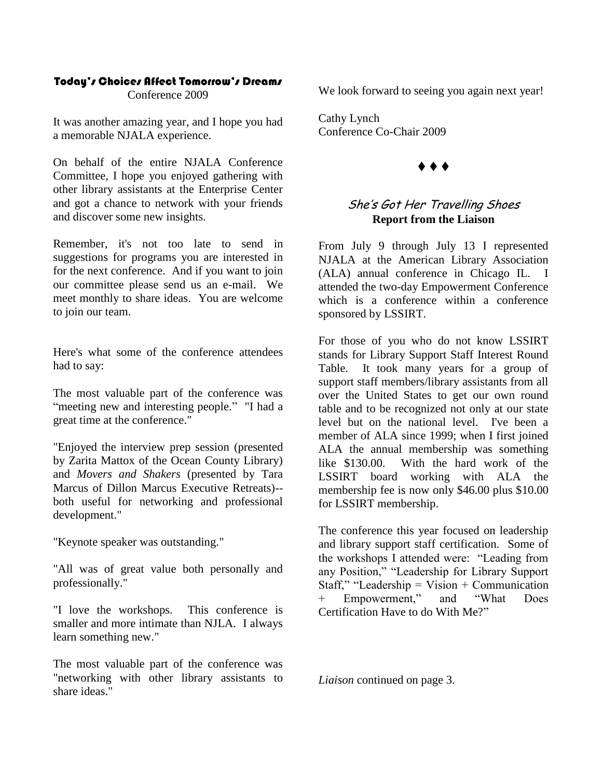#### Today's Choices Affect Tomorrow's Dreams

Conference 2009

It was another amazing year, and I hope you had a memorable NJALA experience.

On behalf of the entire NJALA Conference Committee, I hope you enjoyed gathering with other library assistants at the Enterprise Center and got a chance to network with your friends and discover some new insights.

Remember, it's not too late to send in suggestions for programs you are interested in for the next conference. And if you want to join our committee please send us an e-mail. We meet monthly to share ideas. You are welcome to join our team.

Here's what some of the conference attendees had to say:

The most valuable part of the conference was "meeting new and interesting people." "I had a great time at the conference."

"Enjoyed the interview prep session (presented by Zarita Mattox of the Ocean County Library) and *Movers and Shakers* (presented by Tara Marcus of Dillon Marcus Executive Retreats)- both useful for networking and professional development."

"Keynote speaker was outstanding."

"All was of great value both personally and professionally."

"I love the workshops. This conference is smaller and more intimate than NJLA. I always learn something new."

The most valuable part of the conference was "networking with other library assistants to share ideas."

We look forward to seeing you again next year!

Cathy Lynch Conference Co-Chair 2009

### $\blacklozenge \blacklozenge \blacklozenge$

### She's Got Her Travelling Shoes **Report from the Liaison**

From July 9 through July 13 I represented NJALA at the American Library Association (ALA) annual conference in Chicago IL. attended the two-day Empowerment Conference which is a conference within a conference sponsored by LSSIRT.

For those of you who do not know LSSIRT stands for Library Support Staff Interest Round Table. It took many years for a group of support staff members/library assistants from all over the United States to get our own round table and to be recognized not only at our state level but on the national level. I've been a member of ALA since 1999; when I first joined ALA the annual membership was something like \$130.00. With the hard work of the LSSIRT board working with ALA the membership fee is now only \$46.00 plus \$10.00 for LSSIRT membership.

The conference this year focused on leadership and library support staff certification. Some of the workshops I attended were: "Leading from any Position," "Leadership for Library Support Staff," "Leadership = Vision + Communication + Empowerment," and "What Does Certification Have to do With Me?"

*Liaison* continued on page 3.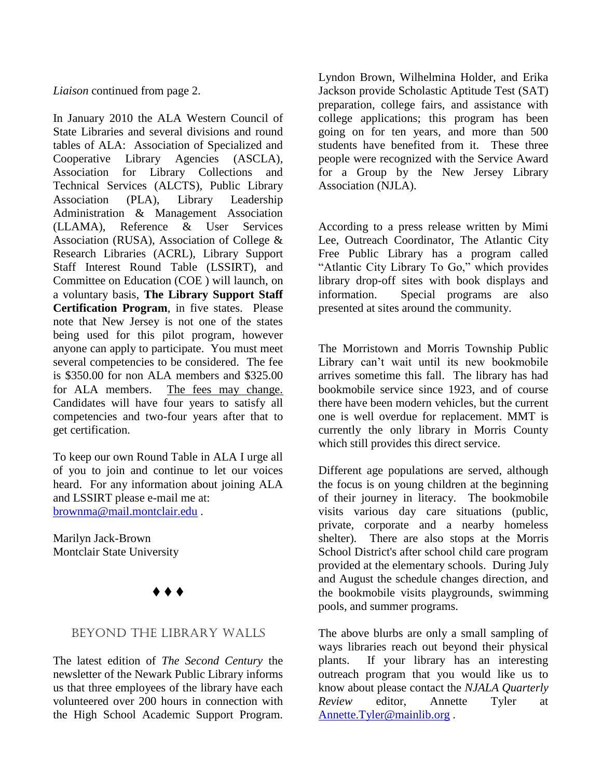#### *Liaison* continued from page 2.

In January 2010 the ALA Western Council of State Libraries and several divisions and round tables of ALA: Association of Specialized and Cooperative Library Agencies (ASCLA), Association for Library Collections and Technical Services (ALCTS), Public Library Association (PLA), Library Leadership Administration & Management Association (LLAMA), Reference & User Services Association (RUSA), Association of College & Research Libraries (ACRL), Library Support Staff Interest Round Table (LSSIRT), and Committee on Education (COE ) will launch, on a voluntary basis, **The Library Support Staff Certification Program**, in five states. Please note that New Jersey is not one of the states being used for this pilot program, however anyone can apply to participate. You must meet several competencies to be considered. The fee is \$350.00 for non ALA members and \$325.00 for ALA members. The fees may change. Candidates will have four years to satisfy all competencies and two-four years after that to get certification.

To keep our own Round Table in ALA I urge all of you to join and continue to let our voices heard. For any information about joining ALA and LSSIRT please e-mail me at: [brownma@mail.montclair.edu](mailto:brownma@mail.montclair.edu) .

Marilyn Jack-Brown Montclair State University



### Beyond the Library Walls

The latest edition of *The Second Century* the newsletter of the Newark Public Library informs us that three employees of the library have each volunteered over 200 hours in connection with the High School Academic Support Program.

Lyndon Brown, Wilhelmina Holder, and Erika Jackson provide Scholastic Aptitude Test (SAT) preparation, college fairs, and assistance with college applications; this program has been going on for ten years, and more than 500 students have benefited from it. These three people were recognized with the Service Award for a Group by the New Jersey Library Association (NJLA).

According to a press release written by Mimi Lee, Outreach Coordinator, The Atlantic City Free Public Library has a program called "Atlantic City Library To Go," which provides library drop-off sites with book displays and information. Special programs are also presented at sites around the community.

The Morristown and Morris Township Public Library can't wait until its new bookmobile arrives sometime this fall. The library has had bookmobile service since 1923, and of course there have been modern vehicles, but the current one is well overdue for replacement. MMT is currently the only library in Morris County which still provides this direct service.

Different age populations are served, although the focus is on young children at the beginning of their journey in literacy. The bookmobile visits various day care situations (public, private, corporate and a nearby homeless shelter). There are also stops at the Morris School District's after school child care program provided at the elementary schools. During July and August the schedule changes direction, and the bookmobile visits playgrounds, swimming pools, and summer programs.

The above blurbs are only a small sampling of ways libraries reach out beyond their physical plants. If your library has an interesting outreach program that you would like us to know about please contact the *NJALA Quarterly Review* editor, Annette Tyler at [Annette.Tyler@mainlib.org](mailto:Annette.Tyler@mainlib.org) .